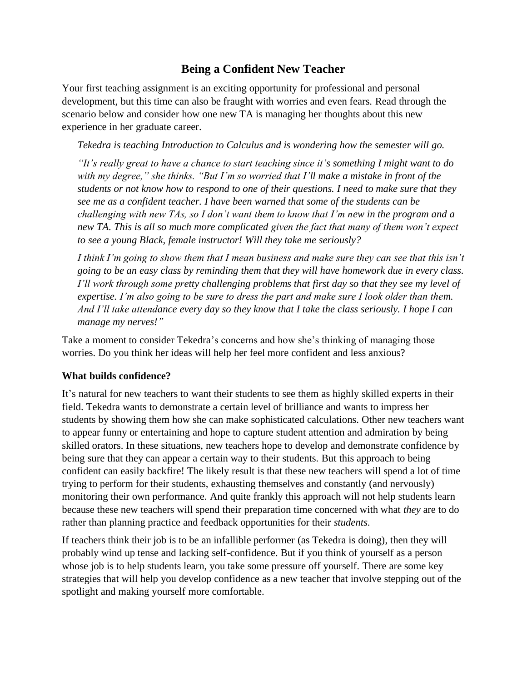# **Being a Confident New Teacher**

Your first teaching assignment is an exciting opportunity for professional and personal development, but this time can also be fraught with worries and even fears. Read through the scenario below and consider how one new TA is managing her thoughts about this new experience in her graduate career.

*Tekedra is teaching Introduction to Calculus and is wondering how the semester will go.* 

*"It's really great to have a chance to start teaching since it's something I might want to do with my degree," she thinks. "But I'm so worried that I'll make a mistake in front of the students or not know how to respond to one of their questions. I need to make sure that they see me as a confident teacher. I have been warned that some of the students can be challenging with new TAs, so I don't want them to know that I'm new in the program and a*  new TA. This is all so much more complicated given the fact that many of them won't expect *to see a young Black, female instructor! Will they take me seriously?*

*I think I'm going to show them that I mean business and make sure they can see that this isn't going to be an easy class by reminding them that they will have homework due in every class. I'll work through some pretty challenging problems that first day so that they see my level of expertise. I'm also going to be sure to dress the part and make sure I look older than them. And I'll take attendance every day so they know that I take the class seriously. I hope I can manage my nerves!"*

Take a moment to consider Tekedra's concerns and how she's thinking of managing those worries. Do you think her ideas will help her feel more confident and less anxious?

#### **What builds confidence?**

It's natural for new teachers to want their students to see them as highly skilled experts in their field. Tekedra wants to demonstrate a certain level of brilliance and wants to impress her students by showing them how she can make sophisticated calculations. Other new teachers want to appear funny or entertaining and hope to capture student attention and admiration by being skilled orators. In these situations, new teachers hope to develop and demonstrate confidence by being sure that they can appear a certain way to their students. But this approach to being confident can easily backfire! The likely result is that these new teachers will spend a lot of time trying to perform for their students, exhausting themselves and constantly (and nervously) monitoring their own performance. And quite frankly this approach will not help students learn because these new teachers will spend their preparation time concerned with what *they* are to do rather than planning practice and feedback opportunities for their *students*.

If teachers think their job is to be an infallible performer (as Tekedra is doing), then they will probably wind up tense and lacking self-confidence. But if you think of yourself as a person whose job is to help students learn, you take some pressure off yourself. There are some key strategies that will help you develop confidence as a new teacher that involve stepping out of the spotlight and making yourself more comfortable.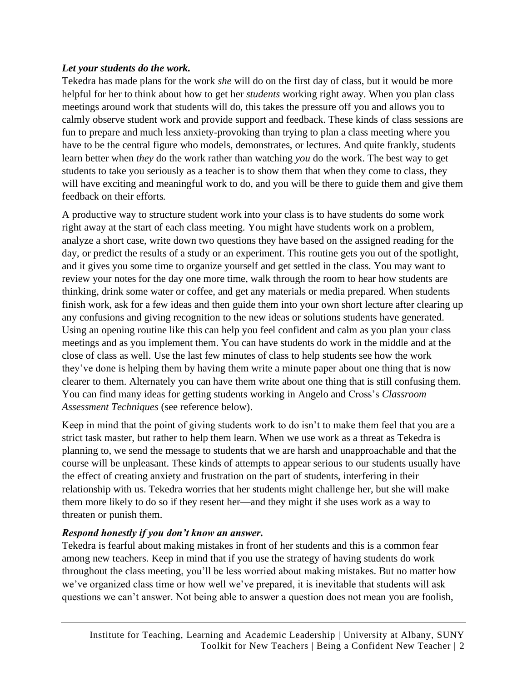### *Let your students do the work.*

Tekedra has made plans for the work *she* will do on the first day of class, but it would be more helpful for her to think about how to get her *students* working right away. When you plan class meetings around work that students will do, this takes the pressure off you and allows you to calmly observe student work and provide support and feedback. These kinds of class sessions are fun to prepare and much less anxiety-provoking than trying to plan a class meeting where you have to be the central figure who models, demonstrates, or lectures. And quite frankly, students learn better when *they* do the work rather than watching *you* do the work. The best way to get students to take you seriously as a teacher is to show them that when they come to class, they will have exciting and meaningful work to do, and you will be there to guide them and give them feedback on their efforts.

A productive way to structure student work into your class is to have students do some work right away at the start of each class meeting. You might have students work on a problem, analyze a short case, write down two questions they have based on the assigned reading for the day, or predict the results of a study or an experiment. This routine gets you out of the spotlight, and it gives you some time to organize yourself and get settled in the class. You may want to review your notes for the day one more time, walk through the room to hear how students are thinking, drink some water or coffee, and get any materials or media prepared. When students finish work, ask for a few ideas and then guide them into your own short lecture after clearing up any confusions and giving recognition to the new ideas or solutions students have generated. Using an opening routine like this can help you feel confident and calm as you plan your class meetings and as you implement them. You can have students do work in the middle and at the close of class as well. Use the last few minutes of class to help students see how the work they've done is helping them by having them write a minute paper about one thing that is now clearer to them. Alternately you can have them write about one thing that is still confusing them. You can find many ideas for getting students working in Angelo and Cross's *Classroom Assessment Techniques* (see reference below).

Keep in mind that the point of giving students work to do isn't to make them feel that you are a strict task master, but rather to help them learn. When we use work as a threat as Tekedra is planning to, we send the message to students that we are harsh and unapproachable and that the course will be unpleasant. These kinds of attempts to appear serious to our students usually have the effect of creating anxiety and frustration on the part of students, interfering in their relationship with us. Tekedra worries that her students might challenge her, but she will make them more likely to do so if they resent her—and they might if she uses work as a way to threaten or punish them.

### *Respond honestly if you don't know an answer.*

Tekedra is fearful about making mistakes in front of her students and this is a common fear among new teachers. Keep in mind that if you use the strategy of having students do work throughout the class meeting, you'll be less worried about making mistakes. But no matter how we've organized class time or how well we've prepared, it is inevitable that students will ask questions we can't answer. Not being able to answer a question does not mean you are foolish,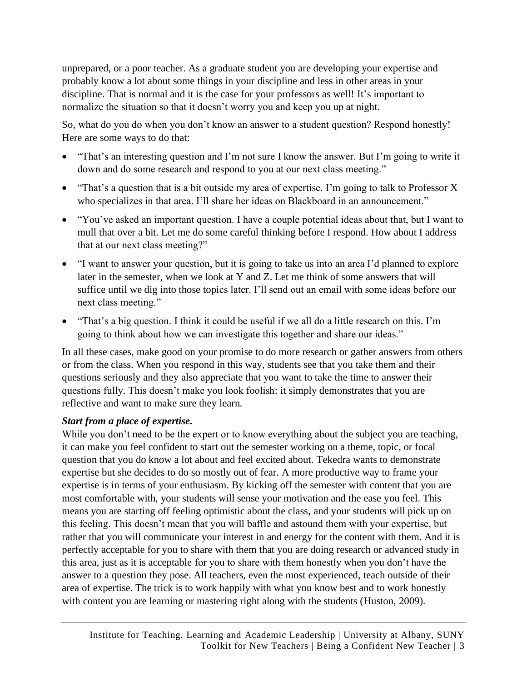unprepared, or a poor teacher. As a graduate student you are developing your expertise and probably know a lot about some things in your discipline and less in other areas in your discipline. That is normal and it is the case for your professors as well! It's important to normalize the situation so that it doesn't worry you and keep you up at night.

So, what do you do when you don't know an answer to a student question? Respond honestly! Here are some ways to do that:

- "That's an interesting question and I'm not sure I know the answer. But I'm going to write it down and do some research and respond to you at our next class meeting."
- "That's a question that is a bit outside my area of expertise. I'm going to talk to Professor X who specializes in that area. I'll share her ideas on Blackboard in an announcement."
- "You've asked an important question. I have a couple potential ideas about that, but I want to mull that over a bit. Let me do some careful thinking before I respond. How about I address that at our next class meeting?"
- "I want to answer your question, but it is going to take us into an area I'd planned to explore later in the semester, when we look at Y and Z. Let me think of some answers that will suffice until we dig into those topics later. I'll send out an email with some ideas before our next class meeting."
- "That's a big question. I think it could be useful if we all do a little research on this. I'm going to think about how we can investigate this together and share our ideas."

In all these cases, make good on your promise to do more research or gather answers from others or from the class. When you respond in this way, students see that you take them and their questions seriously and they also appreciate that you want to take the time to answer their questions fully. This doesn't make you look foolish: it simply demonstrates that you are reflective and want to make sure they learn.

### *Start from a place of expertise.*

While you don't need to be the expert or to know everything about the subject you are teaching, it can make you feel confident to start out the semester working on a theme, topic, or focal question that you do know a lot about and feel excited about. Tekedra wants to demonstrate expertise but she decides to do so mostly out of fear. A more productive way to frame your expertise is in terms of your enthusiasm. By kicking off the semester with content that you are most comfortable with, your students will sense your motivation and the ease you feel. This means you are starting off feeling optimistic about the class, and your students will pick up on this feeling. This doesn't mean that you will baffle and astound them with your expertise, but rather that you will communicate your interest in and energy for the content with them. And it is perfectly acceptable for you to share with them that you are doing research or advanced study in this area, just as it is acceptable for you to share with them honestly when you don't have the answer to a question they pose. All teachers, even the most experienced, teach outside of their area of expertise. The trick is to work happily with what you know best and to work honestly with content you are learning or mastering right along with the students (Huston, 2009).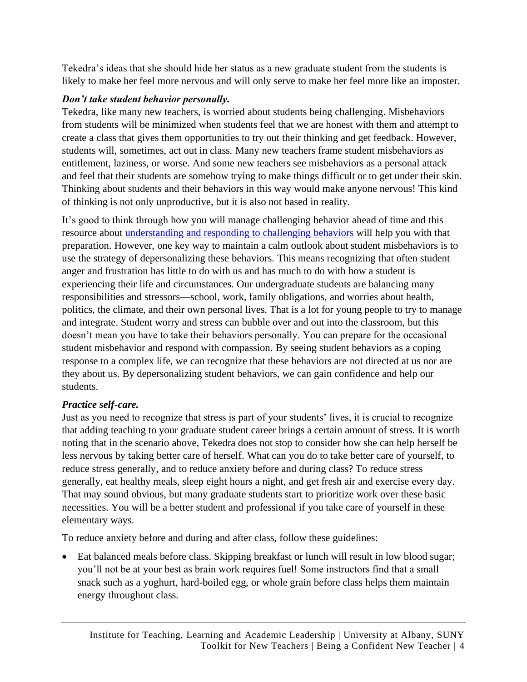Tekedra's ideas that she should hide her status as a new graduate student from the students is likely to make her feel more nervous and will only serve to make her feel more like an imposter.

## *Don't take student behavior personally.*

Tekedra, like many new teachers, is worried about students being challenging. Misbehaviors from students will be minimized when students feel that we are honest with them and attempt to create a class that gives them opportunities to try out their thinking and get feedback. However, students will, sometimes, act out in class. Many new teachers frame student misbehaviors as entitlement, laziness, or worse. And some new teachers see misbehaviors as a personal attack and feel that their students are somehow trying to make things difficult or to get under their skin. Thinking about students and their behaviors in this way would make anyone nervous! This kind of thinking is not only unproductive, but it is also not based in reality.

It's good to think through how you will manage challenging behavior ahead of time and this resource about understanding [and responding to challenging behaviors](https://www.itlal.org/tnt-challenging-behaviors/) will help you with that preparation. However, one key way to maintain a calm outlook about student misbehaviors is to use the strategy of depersonalizing these behaviors. This means recognizing that often student anger and frustration has little to do with us and has much to do with how a student is experiencing their life and circumstances. Our undergraduate students are balancing many responsibilities and stressors—school, work, family obligations, and worries about health, politics, the climate, and their own personal lives. That is a lot for young people to try to manage and integrate. Student worry and stress can bubble over and out into the classroom, but this doesn't mean you have to take their behaviors personally. You can prepare for the occasional student misbehavior and respond with compassion. By seeing student behaviors as a coping response to a complex life, we can recognize that these behaviors are not directed at us nor are they about us. By depersonalizing student behaviors, we can gain confidence and help our students.

# *Practice self-care.*

Just as you need to recognize that stress is part of your students' lives, it is crucial to recognize that adding teaching to your graduate student career brings a certain amount of stress. It is worth noting that in the scenario above, Tekedra does not stop to consider how she can help herself be less nervous by taking better care of herself. What can you do to take better care of yourself, to reduce stress generally, and to reduce anxiety before and during class? To reduce stress generally, eat healthy meals, sleep eight hours a night, and get fresh air and exercise every day. That may sound obvious, but many graduate students start to prioritize work over these basic necessities. You will be a better student and professional if you take care of yourself in these elementary ways.

To reduce anxiety before and during and after class, follow these guidelines:

• Eat balanced meals before class. Skipping breakfast or lunch will result in low blood sugar; you'll not be at your best as brain work requires fuel! Some instructors find that a small snack such as a yoghurt, hard-boiled egg, or whole grain before class helps them maintain energy throughout class.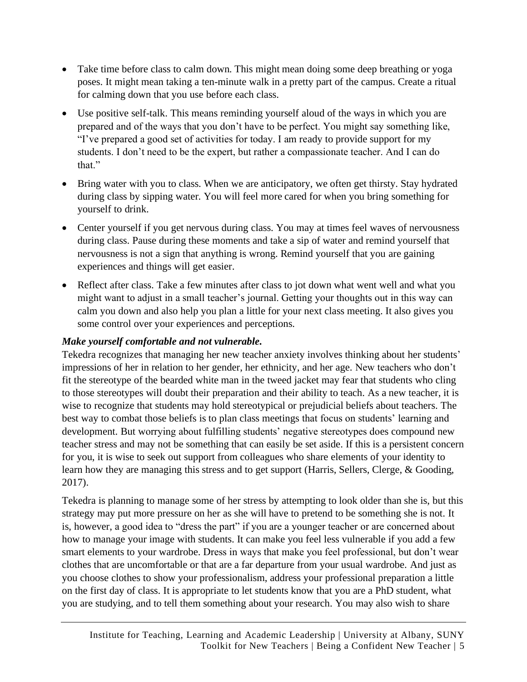- Take time before class to calm down. This might mean doing some deep breathing or yoga poses. It might mean taking a ten-minute walk in a pretty part of the campus. Create a ritual for calming down that you use before each class.
- Use positive self-talk. This means reminding yourself aloud of the ways in which you are prepared and of the ways that you don't have to be perfect. You might say something like, "I've prepared a good set of activities for today. I am ready to provide support for my students. I don't need to be the expert, but rather a compassionate teacher. And I can do that."
- Bring water with you to class. When we are anticipatory, we often get thirsty. Stay hydrated during class by sipping water. You will feel more cared for when you bring something for yourself to drink.
- Center yourself if you get nervous during class. You may at times feel waves of nervousness during class. Pause during these moments and take a sip of water and remind yourself that nervousness is not a sign that anything is wrong. Remind yourself that you are gaining experiences and things will get easier.
- Reflect after class. Take a few minutes after class to jot down what went well and what you might want to adjust in a small teacher's journal. Getting your thoughts out in this way can calm you down and also help you plan a little for your next class meeting. It also gives you some control over your experiences and perceptions.

## *Make yourself comfortable and not vulnerable.*

Tekedra recognizes that managing her new teacher anxiety involves thinking about her students' impressions of her in relation to her gender, her ethnicity, and her age. New teachers who don't fit the stereotype of the bearded white man in the tweed jacket may fear that students who cling to those stereotypes will doubt their preparation and their ability to teach. As a new teacher, it is wise to recognize that students may hold stereotypical or prejudicial beliefs about teachers. The best way to combat those beliefs is to plan class meetings that focus on students' learning and development. But worrying about fulfilling students' negative stereotypes does compound new teacher stress and may not be something that can easily be set aside. If this is a persistent concern for you, it is wise to seek out support from colleagues who share elements of your identity to learn how they are managing this stress and to get support (Harris, Sellers, Clerge, & Gooding, 2017).

Tekedra is planning to manage some of her stress by attempting to look older than she is, but this strategy may put more pressure on her as she will have to pretend to be something she is not. It is, however, a good idea to "dress the part" if you are a younger teacher or are concerned about how to manage your image with students. It can make you feel less vulnerable if you add a few smart elements to your wardrobe. Dress in ways that make you feel professional, but don't wear clothes that are uncomfortable or that are a far departure from your usual wardrobe. And just as you choose clothes to show your professionalism, address your professional preparation a little on the first day of class. It is appropriate to let students know that you are a PhD student, what you are studying, and to tell them something about your research. You may also wish to share